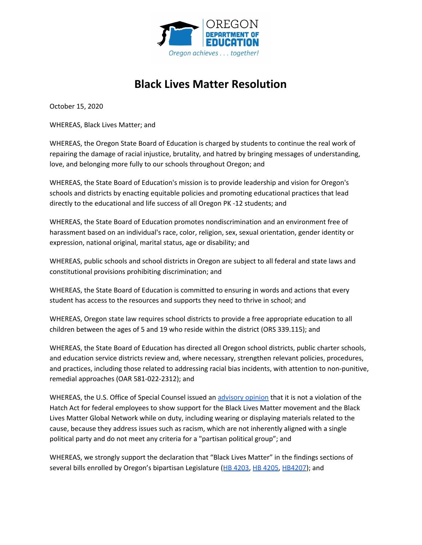

## **Black Lives Matter Resolution**

October 15, 2020

WHEREAS, Black Lives Matter; and

WHEREAS, the Oregon State Board of Education is charged by students to continue the real work of repairing the damage of racial injustice, brutality, and hatred by bringing messages of understanding, love, and belonging more fully to our schools throughout Oregon; and

WHEREAS, the State Board of Education's mission is to provide leadership and vision for Oregon's schools and districts by enacting equitable policies and promoting educational practices that lead directly to the educational and life success of all Oregon PK -12 students; and

WHEREAS, the State Board of Education promotes nondiscrimination and an environment free of harassment based on an individual's race, color, religion, sex, sexual orientation, gender identity or expression, national original, marital status, age or disability; and

WHEREAS, public schools and school districts in Oregon are subject to all federal and state laws and constitutional provisions prohibiting discrimination; and

WHEREAS, the State Board of Education is committed to ensuring in words and actions that every student has access to the resources and supports they need to thrive in school; and

WHEREAS, Oregon state law requires school districts to provide a free appropriate education to all children between the ages of 5 and 19 who reside within the district (ORS 339.115); and

WHEREAS, the State Board of Education has directed all Oregon school districts, public charter schools, and education service districts review and, where necessary, strengthen relevant policies, procedures, and practices, including those related to addressing racial bias incidents, with attention to non-punitive, remedial approaches (OAR 581-022-2312); and

WHEREAS, the U.S. Office of Special Counsel issued an [advisory](https://www.training.nih.gov/assets/Black_Lives_Matter_Opinion.pdf) opinion that it is not a violation of the Hatch Act for federal employees to show support for the Black Lives Matter movement and the Black Lives Matter Global Network while on duty, including wearing or displaying materials related to the cause, because they address issues such as racism, which are not inherently aligned with a single political party and do not meet any criteria for a "partisan political group"; and

WHEREAS, we strongly support the declaration that "Black Lives Matter" in the findings sections of several bills enrolled by Oregon's bipartisan Legislature (HB [4203,](https://olis.oregonlegislature.gov/liz/2020S1/Measures/Overview/HB4203) HB [4205](https://olis.oregonlegislature.gov/liz/2020S1/Measures/Overview/HB4205), [HB4207\)](https://olis.oregonlegislature.gov/liz/2020S1/Downloads/MeasureDocument/HB4207); and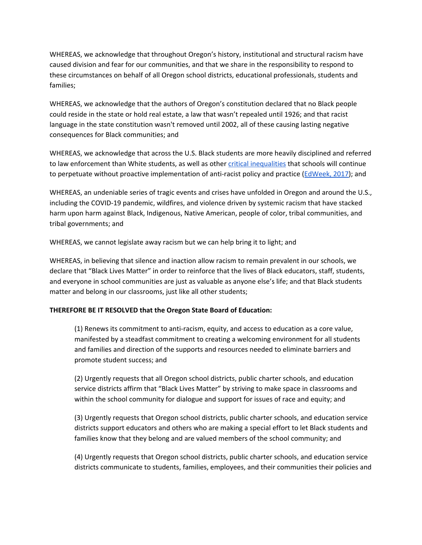WHEREAS, we acknowledge that throughout Oregon's history, institutional and structural racism have caused division and fear for our communities, and that we share in the responsibility to respond to these circumstances on behalf of all Oregon school districts, educational professionals, students and families;

WHEREAS, we acknowledge that the authors of Oregon's constitution declared that no Black people could reside in the state or hold real estate, a law that wasn't repealed until 1926; and that racist language in the state constitution wasn't removed until 2002, all of these causing lasting negative consequences for Black communities; and

WHEREAS, we acknowledge that across the U.S. Black students are more heavily disciplined and referred to law enforcement than White students, as well as other critical [inequalities](https://uncf.org/pages/K-12-Disparity-Facts-and-Stats?gclid=Cj0KCQjw8fr7BRDSARIsAK0Qqr6Clj6bCADMIXz_Dr4XPnIQcnAw4Sp38WOOUIGUUn3zeTTUTEQF_jEaAkhLEALw_wcB) that schools will continue to perpetuate without proactive implementation of anti-racist policy and practice ([EdWeek,](https://www.edweek.org/ew/articles/2017/01/25/black-students-more-likely-to-be-arrested.html) 2017); and

WHEREAS, an undeniable series of tragic events and crises have unfolded in Oregon and around the U.S., including the COVID-19 pandemic, wildfires, and violence driven by systemic racism that have stacked harm upon harm against Black, Indigenous, Native American, people of color, tribal communities, and tribal governments; and

WHEREAS, we cannot legislate away racism but we can help bring it to light; and

WHEREAS, in believing that silence and inaction allow racism to remain prevalent in our schools, we declare that "Black Lives Matter" in order to reinforce that the lives of Black educators, staff, students, and everyone in school communities are just as valuable as anyone else's life; and that Black students matter and belong in our classrooms, just like all other students;

## **THEREFORE BE IT RESOLVED that the Oregon State Board of Education:**

(1) Renews its commitment to anti-racism, equity, and access to education as a core value, manifested by a steadfast commitment to creating a welcoming environment for all students and families and direction of the supports and resources needed to eliminate barriers and promote student success; and

(2) Urgently requests that all Oregon school districts, public charter schools, and education service districts affirm that "Black Lives Matter" by striving to make space in classrooms and within the school community for dialogue and support for issues of race and equity; and

(3) Urgently requests that Oregon school districts, public charter schools, and education service districts support educators and others who are making a special effort to let Black students and families know that they belong and are valued members of the school community; and

(4) Urgently requests that Oregon school districts, public charter schools, and education service districts communicate to students, families, employees, and their communities their policies and